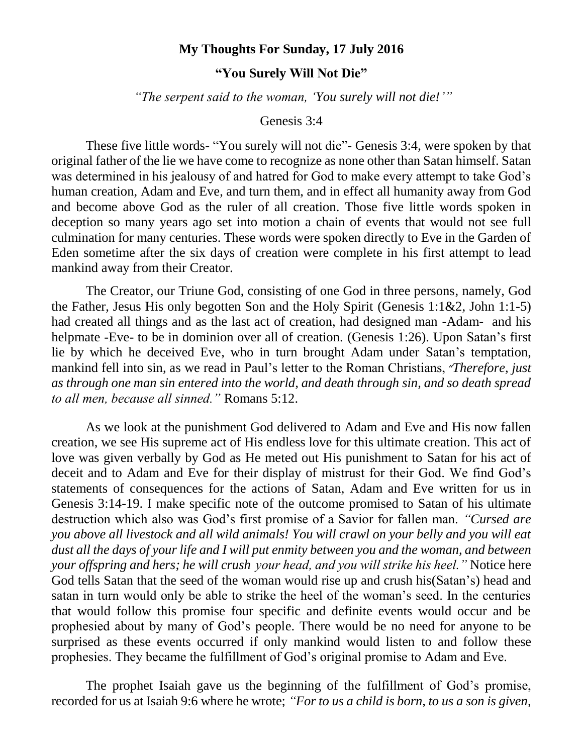## **My Thoughts For Sunday, 17 July 2016**

## **"You Surely Will Not Die"**

*"The serpent said to the woman, 'You surely will not die!'"*

## Genesis 3:4

These five little words- "You surely will not die"- Genesis 3:4, were spoken by that original father of the lie we have come to recognize as none other than Satan himself. Satan was determined in his jealousy of and hatred for God to make every attempt to take God's human creation, Adam and Eve, and turn them, and in effect all humanity away from God and become above God as the ruler of all creation. Those five little words spoken in deception so many years ago set into motion a chain of events that would not see full culmination for many centuries. These words were spoken directly to Eve in the Garden of Eden sometime after the six days of creation were complete in his first attempt to lead mankind away from their Creator.

The Creator, our Triune God, consisting of one God in three persons, namely, God the Father, Jesus His only begotten Son and the Holy Spirit (Genesis 1:1&2, John 1:1-5) had created all things and as the last act of creation, had designed man -Adam- and his helpmate -Eve- to be in dominion over all of creation. (Genesis 1:26). Upon Satan's first lie by which he deceived Eve, who in turn brought Adam under Satan's temptation, mankind fell into sin, as we read in Paul's letter to the Roman Christians, *"Therefore, just as through one man sin entered into the world, and death through sin, and so death spread to all men, because all sinned."* Romans 5:12.

As we look at the punishment God delivered to Adam and Eve and His now fallen creation, we see His supreme act of His endless love for this ultimate creation. This act of love was given verbally by God as He meted out His punishment to Satan for his act of deceit and to Adam and Eve for their display of mistrust for their God. We find God's statements of consequences for the actions of Satan, Adam and Eve written for us in Genesis 3:14-19. I make specific note of the outcome promised to Satan of his ultimate destruction which also was God's first promise of a Savior for fallen man. *"Cursed are you above all livestock and all wild animals! You will crawl on your belly and you will eat dust all the days of your life and I will put enmity between you and the woman, and between your offspring and hers; he will crush your head, and you will strike his heel."* Notice here God tells Satan that the seed of the woman would rise up and crush his(Satan's) head and satan in turn would only be able to strike the heel of the woman's seed. In the centuries that would follow this promise four specific and definite events would occur and be prophesied about by many of God's people. There would be no need for anyone to be surprised as these events occurred if only mankind would listen to and follow these prophesies. They became the fulfillment of God's original promise to Adam and Eve.

The prophet Isaiah gave us the beginning of the fulfillment of God's promise, recorded for us at Isaiah 9:6 where he wrote; *"For to us a child is born, to us a son is given,*